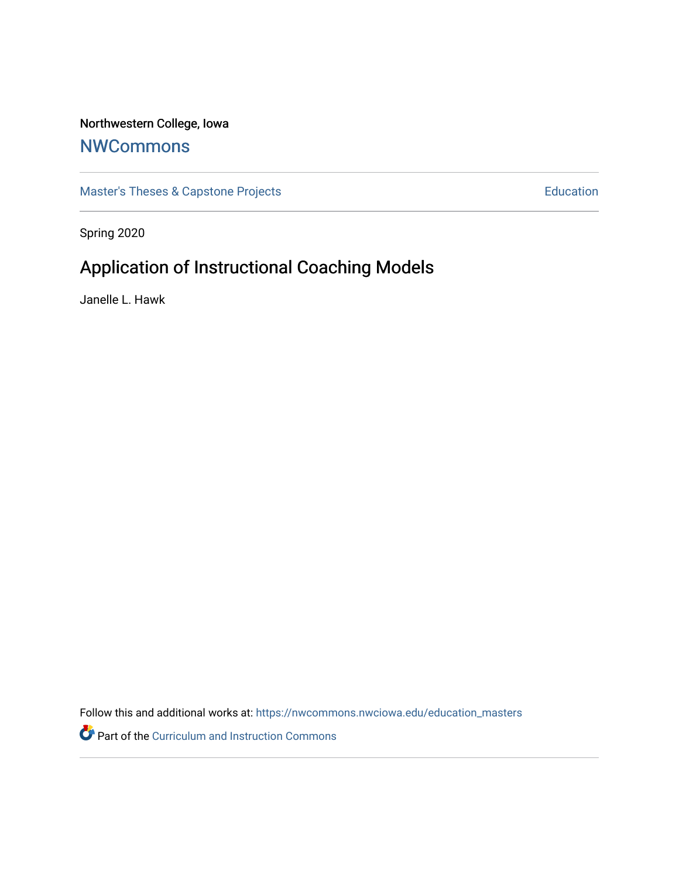# Northwestern College, Iowa

# **[NWCommons](https://nwcommons.nwciowa.edu/)**

[Master's Theses & Capstone Projects](https://nwcommons.nwciowa.edu/education_masters) **Education** Education

Spring 2020

# Application of Instructional Coaching Models

Janelle L. Hawk

Follow this and additional works at: [https://nwcommons.nwciowa.edu/education\\_masters](https://nwcommons.nwciowa.edu/education_masters?utm_source=nwcommons.nwciowa.edu%2Feducation_masters%2F205&utm_medium=PDF&utm_campaign=PDFCoverPages)

Part of the [Curriculum and Instruction Commons](http://network.bepress.com/hgg/discipline/786?utm_source=nwcommons.nwciowa.edu%2Feducation_masters%2F205&utm_medium=PDF&utm_campaign=PDFCoverPages)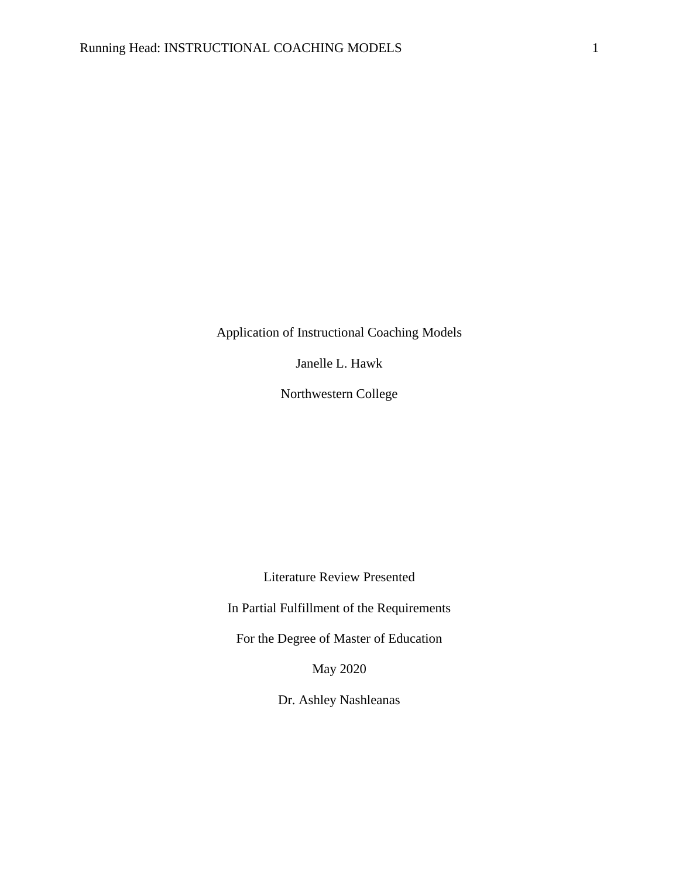Application of Instructional Coaching Models

Janelle L. Hawk

Northwestern College

Literature Review Presented

In Partial Fulfillment of the Requirements

For the Degree of Master of Education

May 2020

Dr. Ashley Nashleanas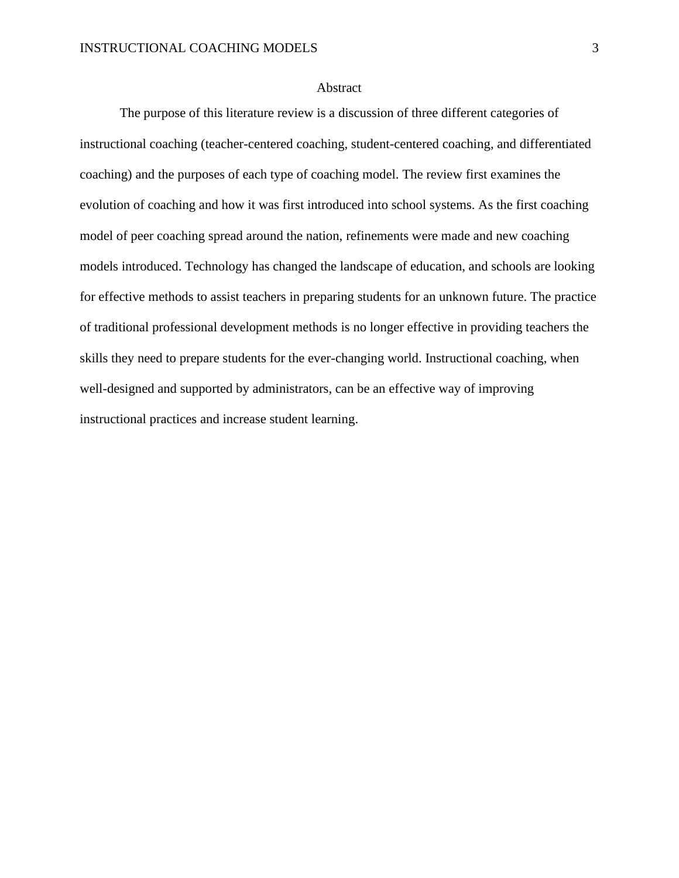#### **Abstract**

The purpose of this literature review is a discussion of three different categories of instructional coaching (teacher-centered coaching, student-centered coaching, and differentiated coaching) and the purposes of each type of coaching model. The review first examines the evolution of coaching and how it was first introduced into school systems. As the first coaching model of peer coaching spread around the nation, refinements were made and new coaching models introduced. Technology has changed the landscape of education, and schools are looking for effective methods to assist teachers in preparing students for an unknown future. The practice of traditional professional development methods is no longer effective in providing teachers the skills they need to prepare students for the ever-changing world. Instructional coaching, when well-designed and supported by administrators, can be an effective way of improving instructional practices and increase student learning.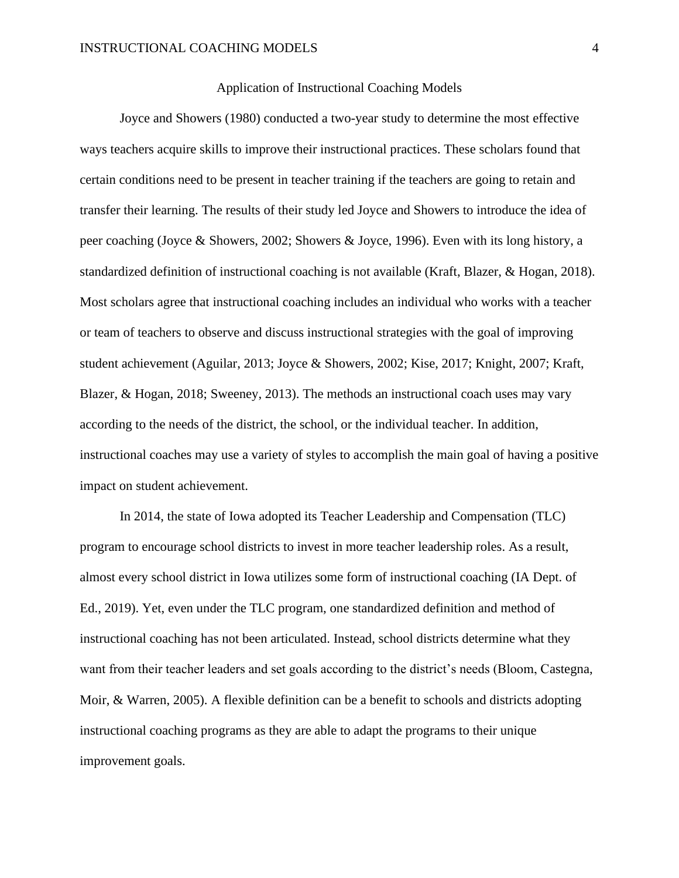## Application of Instructional Coaching Models

Joyce and Showers (1980) conducted a two-year study to determine the most effective ways teachers acquire skills to improve their instructional practices. These scholars found that certain conditions need to be present in teacher training if the teachers are going to retain and transfer their learning. The results of their study led Joyce and Showers to introduce the idea of peer coaching (Joyce & Showers, 2002; Showers & Joyce, 1996). Even with its long history, a standardized definition of instructional coaching is not available (Kraft, Blazer, & Hogan, 2018). Most scholars agree that instructional coaching includes an individual who works with a teacher or team of teachers to observe and discuss instructional strategies with the goal of improving student achievement (Aguilar, 2013; Joyce & Showers, 2002; Kise, 2017; Knight, 2007; Kraft, Blazer, & Hogan, 2018; Sweeney, 2013). The methods an instructional coach uses may vary according to the needs of the district, the school, or the individual teacher. In addition, instructional coaches may use a variety of styles to accomplish the main goal of having a positive impact on student achievement.

In 2014, the state of Iowa adopted its Teacher Leadership and Compensation (TLC) program to encourage school districts to invest in more teacher leadership roles. As a result, almost every school district in Iowa utilizes some form of instructional coaching (IA Dept. of Ed., 2019). Yet, even under the TLC program, one standardized definition and method of instructional coaching has not been articulated. Instead, school districts determine what they want from their teacher leaders and set goals according to the district's needs (Bloom, Castegna, Moir, & Warren, 2005). A flexible definition can be a benefit to schools and districts adopting instructional coaching programs as they are able to adapt the programs to their unique improvement goals.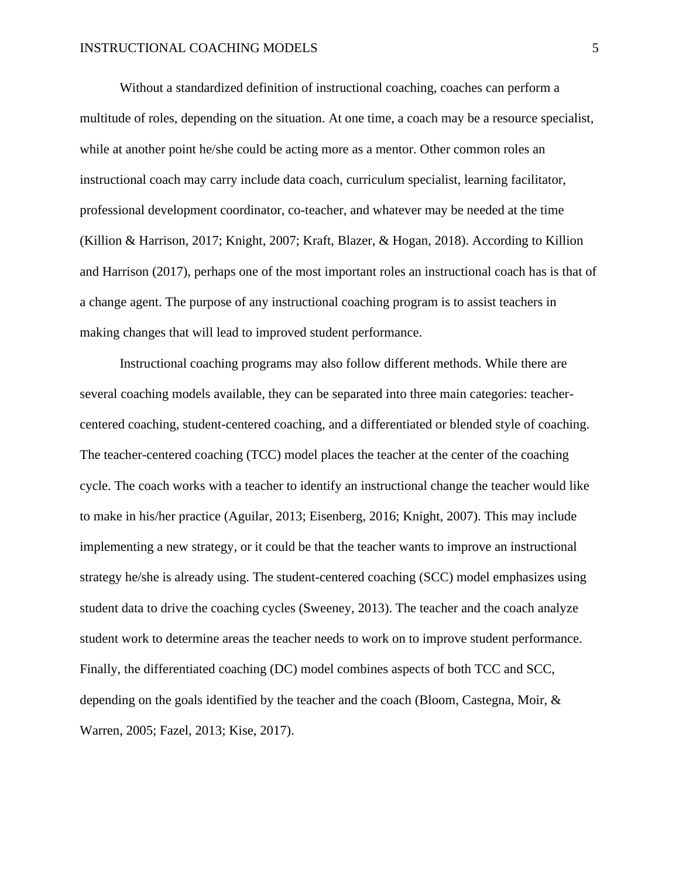Without a standardized definition of instructional coaching, coaches can perform a multitude of roles, depending on the situation. At one time, a coach may be a resource specialist, while at another point he/she could be acting more as a mentor. Other common roles an instructional coach may carry include data coach, curriculum specialist, learning facilitator, professional development coordinator, co-teacher, and whatever may be needed at the time (Killion & Harrison, 2017; Knight, 2007; Kraft, Blazer, & Hogan, 2018). According to Killion and Harrison (2017), perhaps one of the most important roles an instructional coach has is that of a change agent. The purpose of any instructional coaching program is to assist teachers in making changes that will lead to improved student performance.

Instructional coaching programs may also follow different methods. While there are several coaching models available, they can be separated into three main categories: teachercentered coaching, student-centered coaching, and a differentiated or blended style of coaching. The teacher-centered coaching (TCC) model places the teacher at the center of the coaching cycle. The coach works with a teacher to identify an instructional change the teacher would like to make in his/her practice (Aguilar, 2013; Eisenberg, 2016; Knight, 2007). This may include implementing a new strategy, or it could be that the teacher wants to improve an instructional strategy he/she is already using. The student-centered coaching (SCC) model emphasizes using student data to drive the coaching cycles (Sweeney, 2013). The teacher and the coach analyze student work to determine areas the teacher needs to work on to improve student performance. Finally, the differentiated coaching (DC) model combines aspects of both TCC and SCC, depending on the goals identified by the teacher and the coach (Bloom, Castegna, Moir, & Warren, 2005; Fazel, 2013; Kise, 2017).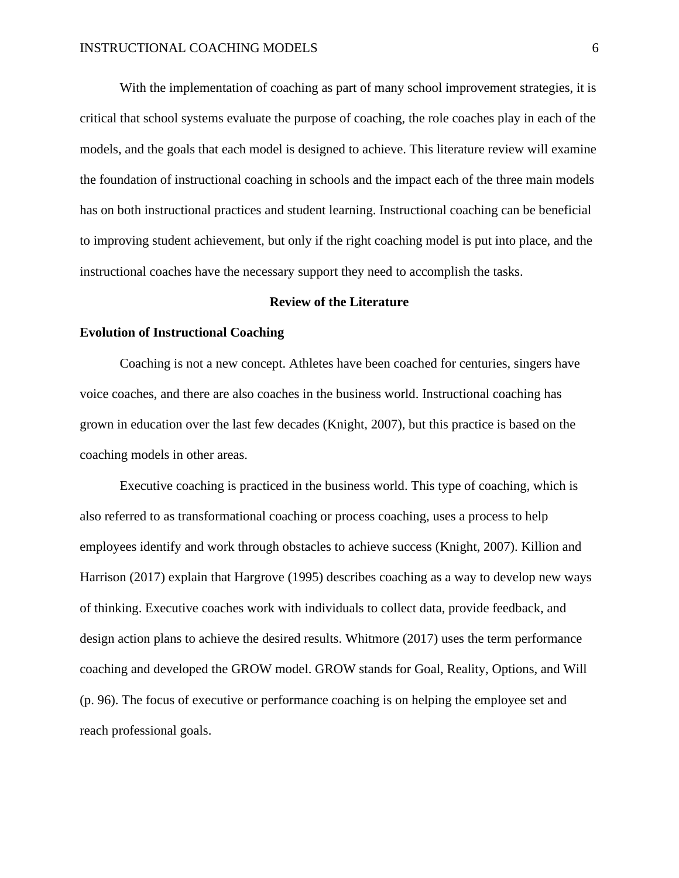With the implementation of coaching as part of many school improvement strategies, it is critical that school systems evaluate the purpose of coaching, the role coaches play in each of the models, and the goals that each model is designed to achieve. This literature review will examine the foundation of instructional coaching in schools and the impact each of the three main models has on both instructional practices and student learning. Instructional coaching can be beneficial to improving student achievement, but only if the right coaching model is put into place, and the instructional coaches have the necessary support they need to accomplish the tasks.

## **Review of the Literature**

# **Evolution of Instructional Coaching**

Coaching is not a new concept. Athletes have been coached for centuries, singers have voice coaches, and there are also coaches in the business world. Instructional coaching has grown in education over the last few decades (Knight, 2007), but this practice is based on the coaching models in other areas.

Executive coaching is practiced in the business world. This type of coaching, which is also referred to as transformational coaching or process coaching, uses a process to help employees identify and work through obstacles to achieve success (Knight, 2007). Killion and Harrison (2017) explain that Hargrove (1995) describes coaching as a way to develop new ways of thinking. Executive coaches work with individuals to collect data, provide feedback, and design action plans to achieve the desired results. Whitmore (2017) uses the term performance coaching and developed the GROW model. GROW stands for Goal, Reality, Options, and Will (p. 96). The focus of executive or performance coaching is on helping the employee set and reach professional goals.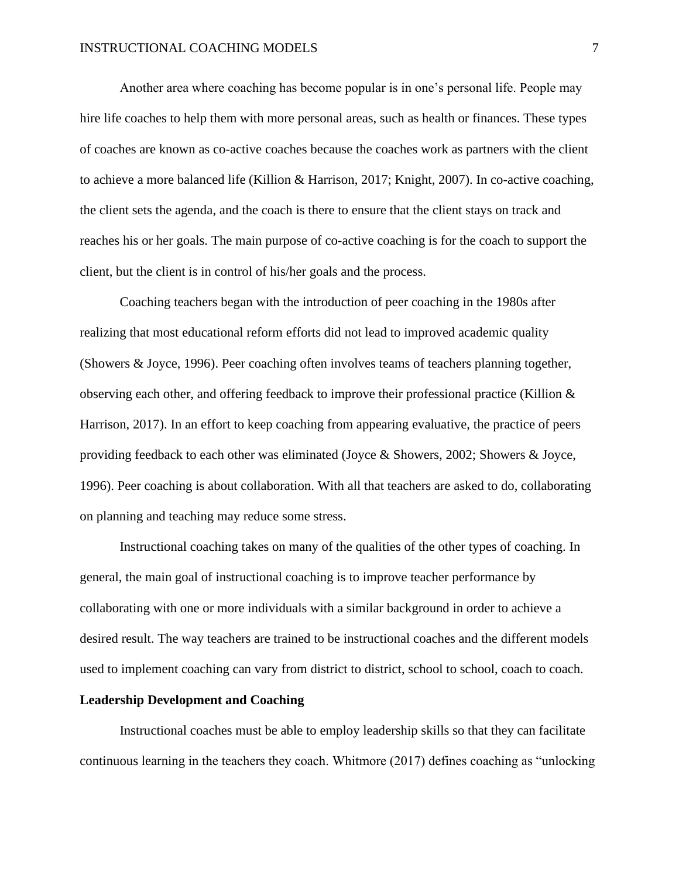Another area where coaching has become popular is in one's personal life. People may hire life coaches to help them with more personal areas, such as health or finances. These types of coaches are known as co-active coaches because the coaches work as partners with the client to achieve a more balanced life (Killion & Harrison, 2017; Knight, 2007). In co-active coaching, the client sets the agenda, and the coach is there to ensure that the client stays on track and reaches his or her goals. The main purpose of co-active coaching is for the coach to support the client, but the client is in control of his/her goals and the process.

Coaching teachers began with the introduction of peer coaching in the 1980s after realizing that most educational reform efforts did not lead to improved academic quality (Showers & Joyce, 1996). Peer coaching often involves teams of teachers planning together, observing each other, and offering feedback to improve their professional practice (Killion  $\&$ Harrison, 2017). In an effort to keep coaching from appearing evaluative, the practice of peers providing feedback to each other was eliminated (Joyce & Showers, 2002; Showers & Joyce, 1996). Peer coaching is about collaboration. With all that teachers are asked to do, collaborating on planning and teaching may reduce some stress.

Instructional coaching takes on many of the qualities of the other types of coaching. In general, the main goal of instructional coaching is to improve teacher performance by collaborating with one or more individuals with a similar background in order to achieve a desired result. The way teachers are trained to be instructional coaches and the different models used to implement coaching can vary from district to district, school to school, coach to coach.

#### **Leadership Development and Coaching**

Instructional coaches must be able to employ leadership skills so that they can facilitate continuous learning in the teachers they coach. Whitmore (2017) defines coaching as "unlocking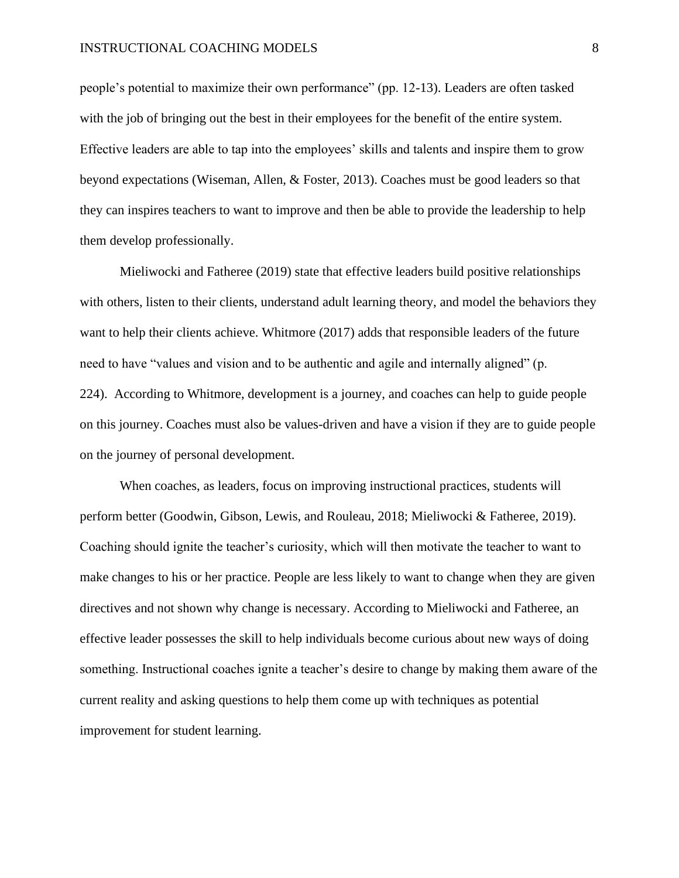people's potential to maximize their own performance" (pp. 12-13). Leaders are often tasked with the job of bringing out the best in their employees for the benefit of the entire system. Effective leaders are able to tap into the employees' skills and talents and inspire them to grow beyond expectations (Wiseman, Allen, & Foster, 2013). Coaches must be good leaders so that they can inspires teachers to want to improve and then be able to provide the leadership to help them develop professionally.

Mieliwocki and Fatheree (2019) state that effective leaders build positive relationships with others, listen to their clients, understand adult learning theory, and model the behaviors they want to help their clients achieve. Whitmore (2017) adds that responsible leaders of the future need to have "values and vision and to be authentic and agile and internally aligned" (p. 224). According to Whitmore, development is a journey, and coaches can help to guide people on this journey. Coaches must also be values-driven and have a vision if they are to guide people on the journey of personal development.

When coaches, as leaders, focus on improving instructional practices, students will perform better (Goodwin, Gibson, Lewis, and Rouleau, 2018; Mieliwocki & Fatheree, 2019). Coaching should ignite the teacher's curiosity, which will then motivate the teacher to want to make changes to his or her practice. People are less likely to want to change when they are given directives and not shown why change is necessary. According to Mieliwocki and Fatheree, an effective leader possesses the skill to help individuals become curious about new ways of doing something. Instructional coaches ignite a teacher's desire to change by making them aware of the current reality and asking questions to help them come up with techniques as potential improvement for student learning.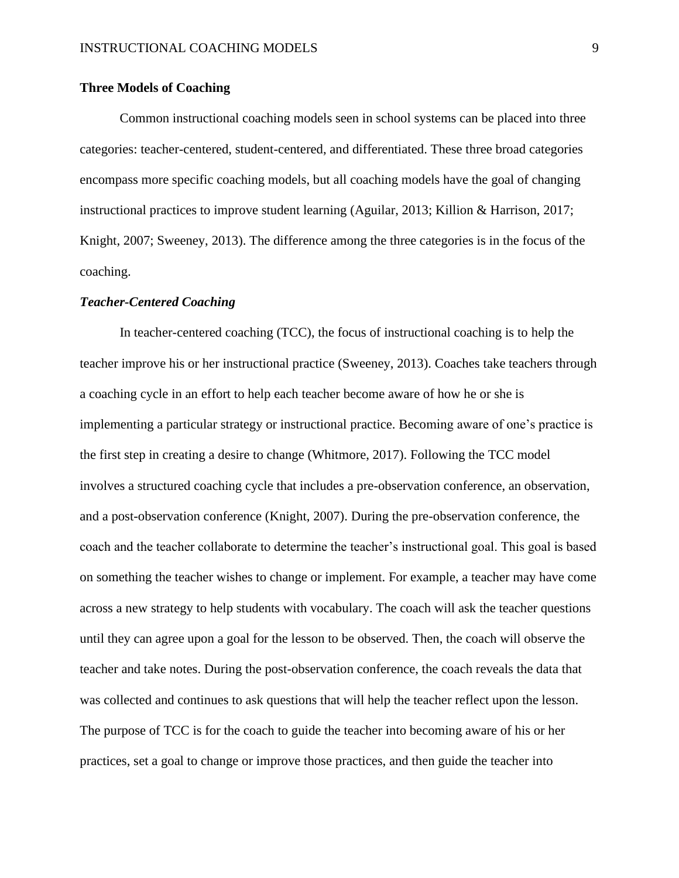# **Three Models of Coaching**

Common instructional coaching models seen in school systems can be placed into three categories: teacher-centered, student-centered, and differentiated. These three broad categories encompass more specific coaching models, but all coaching models have the goal of changing instructional practices to improve student learning (Aguilar, 2013; Killion & Harrison, 2017; Knight, 2007; Sweeney, 2013). The difference among the three categories is in the focus of the coaching.

#### *Teacher-Centered Coaching*

In teacher-centered coaching (TCC), the focus of instructional coaching is to help the teacher improve his or her instructional practice (Sweeney, 2013). Coaches take teachers through a coaching cycle in an effort to help each teacher become aware of how he or she is implementing a particular strategy or instructional practice. Becoming aware of one's practice is the first step in creating a desire to change (Whitmore, 2017). Following the TCC model involves a structured coaching cycle that includes a pre-observation conference, an observation, and a post-observation conference (Knight, 2007). During the pre-observation conference, the coach and the teacher collaborate to determine the teacher's instructional goal. This goal is based on something the teacher wishes to change or implement. For example, a teacher may have come across a new strategy to help students with vocabulary. The coach will ask the teacher questions until they can agree upon a goal for the lesson to be observed. Then, the coach will observe the teacher and take notes. During the post-observation conference, the coach reveals the data that was collected and continues to ask questions that will help the teacher reflect upon the lesson. The purpose of TCC is for the coach to guide the teacher into becoming aware of his or her practices, set a goal to change or improve those practices, and then guide the teacher into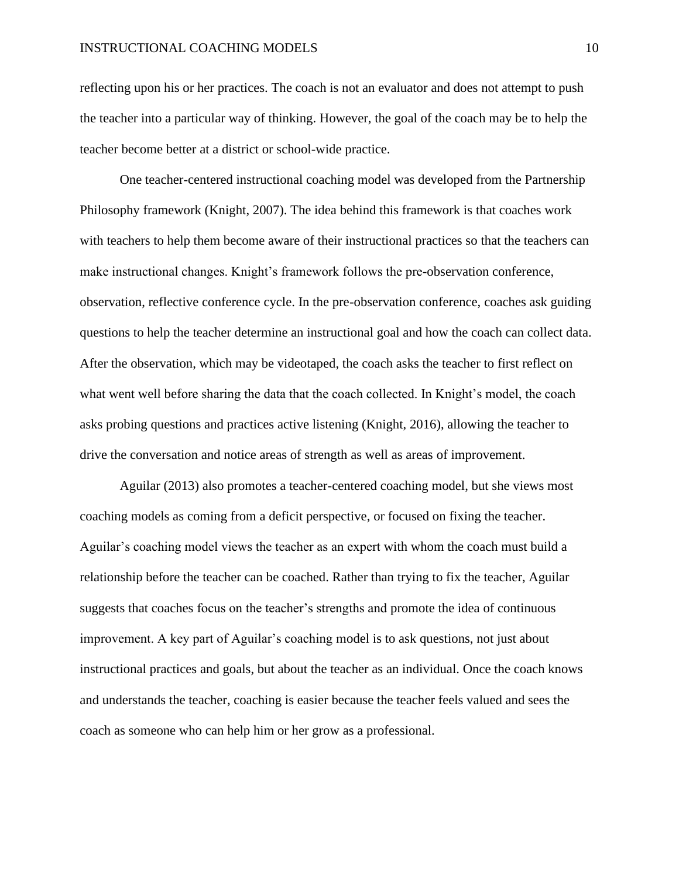reflecting upon his or her practices. The coach is not an evaluator and does not attempt to push the teacher into a particular way of thinking. However, the goal of the coach may be to help the teacher become better at a district or school-wide practice.

One teacher-centered instructional coaching model was developed from the Partnership Philosophy framework (Knight, 2007). The idea behind this framework is that coaches work with teachers to help them become aware of their instructional practices so that the teachers can make instructional changes. Knight's framework follows the pre-observation conference, observation, reflective conference cycle. In the pre-observation conference, coaches ask guiding questions to help the teacher determine an instructional goal and how the coach can collect data. After the observation, which may be videotaped, the coach asks the teacher to first reflect on what went well before sharing the data that the coach collected. In Knight's model, the coach asks probing questions and practices active listening (Knight, 2016), allowing the teacher to drive the conversation and notice areas of strength as well as areas of improvement.

Aguilar (2013) also promotes a teacher-centered coaching model, but she views most coaching models as coming from a deficit perspective, or focused on fixing the teacher. Aguilar's coaching model views the teacher as an expert with whom the coach must build a relationship before the teacher can be coached. Rather than trying to fix the teacher, Aguilar suggests that coaches focus on the teacher's strengths and promote the idea of continuous improvement. A key part of Aguilar's coaching model is to ask questions, not just about instructional practices and goals, but about the teacher as an individual. Once the coach knows and understands the teacher, coaching is easier because the teacher feels valued and sees the coach as someone who can help him or her grow as a professional.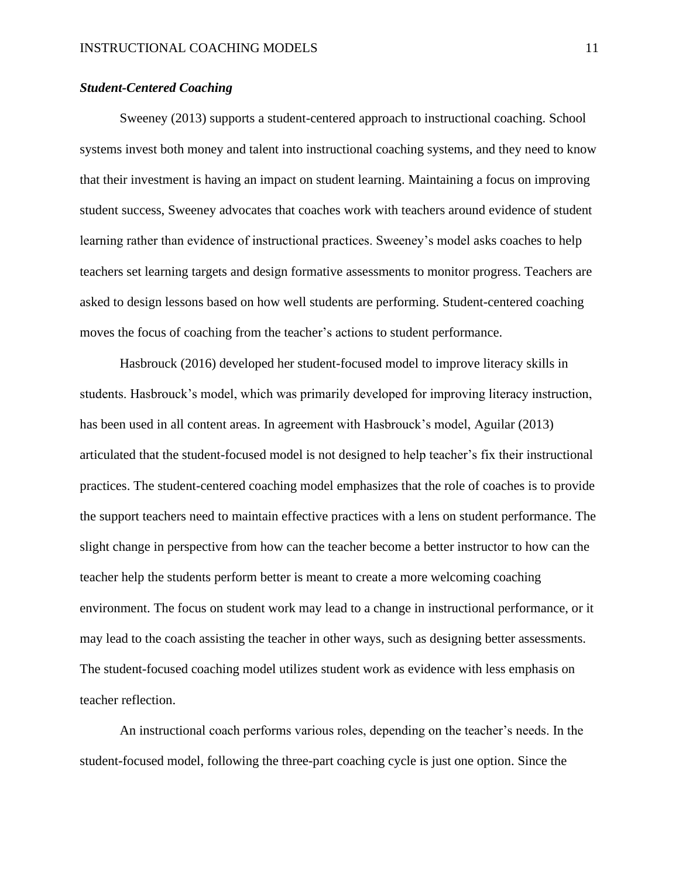# *Student-Centered Coaching*

Sweeney (2013) supports a student-centered approach to instructional coaching. School systems invest both money and talent into instructional coaching systems, and they need to know that their investment is having an impact on student learning. Maintaining a focus on improving student success, Sweeney advocates that coaches work with teachers around evidence of student learning rather than evidence of instructional practices. Sweeney's model asks coaches to help teachers set learning targets and design formative assessments to monitor progress. Teachers are asked to design lessons based on how well students are performing. Student-centered coaching moves the focus of coaching from the teacher's actions to student performance.

Hasbrouck (2016) developed her student-focused model to improve literacy skills in students. Hasbrouck's model, which was primarily developed for improving literacy instruction, has been used in all content areas. In agreement with Hasbrouck's model, Aguilar (2013) articulated that the student-focused model is not designed to help teacher's fix their instructional practices. The student-centered coaching model emphasizes that the role of coaches is to provide the support teachers need to maintain effective practices with a lens on student performance. The slight change in perspective from how can the teacher become a better instructor to how can the teacher help the students perform better is meant to create a more welcoming coaching environment. The focus on student work may lead to a change in instructional performance, or it may lead to the coach assisting the teacher in other ways, such as designing better assessments. The student-focused coaching model utilizes student work as evidence with less emphasis on teacher reflection.

An instructional coach performs various roles, depending on the teacher's needs. In the student-focused model, following the three-part coaching cycle is just one option. Since the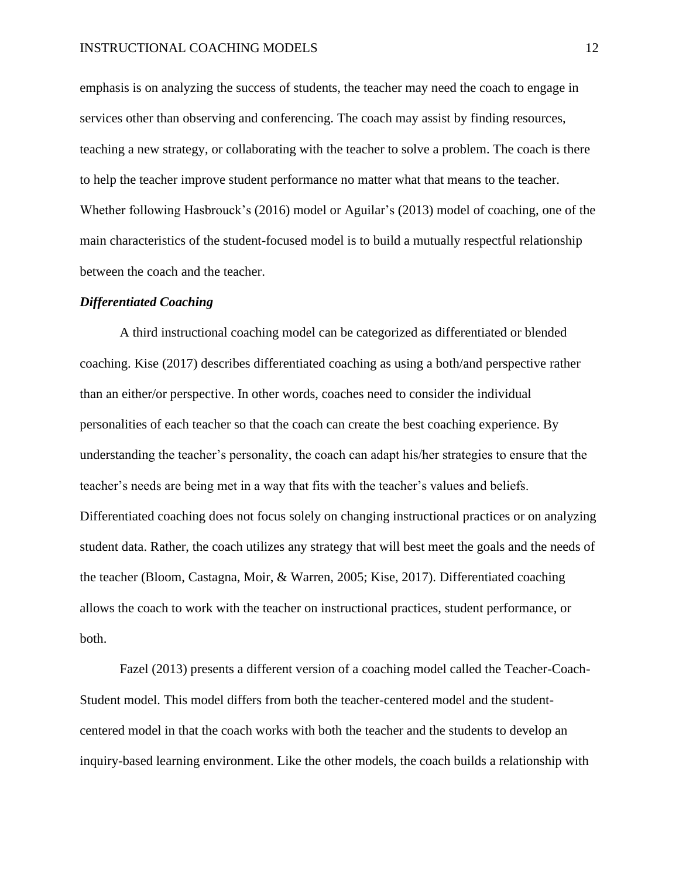emphasis is on analyzing the success of students, the teacher may need the coach to engage in services other than observing and conferencing. The coach may assist by finding resources, teaching a new strategy, or collaborating with the teacher to solve a problem. The coach is there to help the teacher improve student performance no matter what that means to the teacher. Whether following Hasbrouck's (2016) model or Aguilar's (2013) model of coaching, one of the main characteristics of the student-focused model is to build a mutually respectful relationship between the coach and the teacher.

#### *Differentiated Coaching*

A third instructional coaching model can be categorized as differentiated or blended coaching. Kise (2017) describes differentiated coaching as using a both/and perspective rather than an either/or perspective. In other words, coaches need to consider the individual personalities of each teacher so that the coach can create the best coaching experience. By understanding the teacher's personality, the coach can adapt his/her strategies to ensure that the teacher's needs are being met in a way that fits with the teacher's values and beliefs. Differentiated coaching does not focus solely on changing instructional practices or on analyzing student data. Rather, the coach utilizes any strategy that will best meet the goals and the needs of the teacher (Bloom, Castagna, Moir, & Warren, 2005; Kise, 2017). Differentiated coaching allows the coach to work with the teacher on instructional practices, student performance, or both.

Fazel (2013) presents a different version of a coaching model called the Teacher-Coach-Student model. This model differs from both the teacher-centered model and the studentcentered model in that the coach works with both the teacher and the students to develop an inquiry-based learning environment. Like the other models, the coach builds a relationship with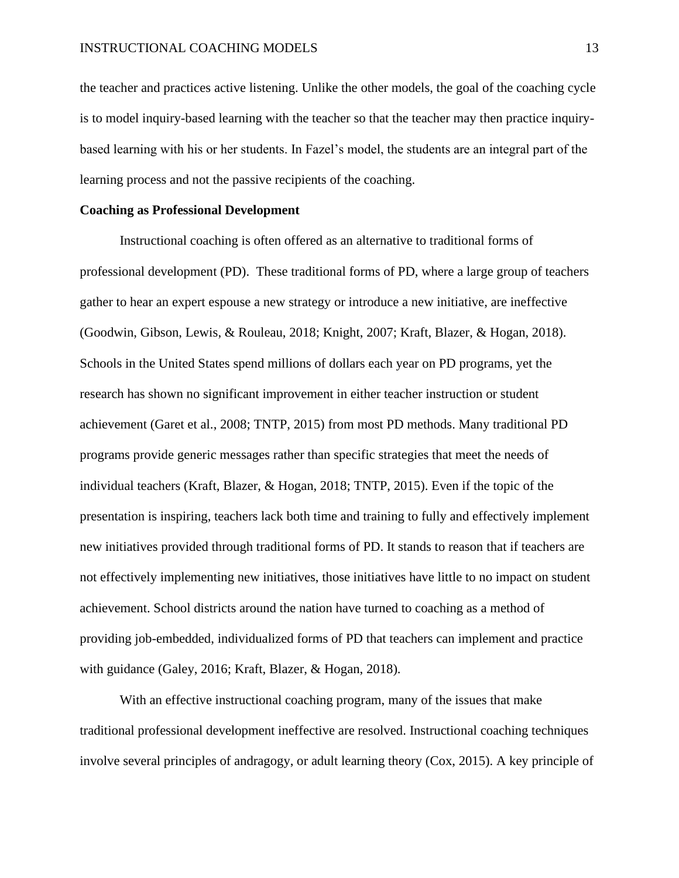the teacher and practices active listening. Unlike the other models, the goal of the coaching cycle is to model inquiry-based learning with the teacher so that the teacher may then practice inquirybased learning with his or her students. In Fazel's model, the students are an integral part of the learning process and not the passive recipients of the coaching.

#### **Coaching as Professional Development**

Instructional coaching is often offered as an alternative to traditional forms of professional development (PD). These traditional forms of PD, where a large group of teachers gather to hear an expert espouse a new strategy or introduce a new initiative, are ineffective (Goodwin, Gibson, Lewis, & Rouleau, 2018; Knight, 2007; Kraft, Blazer, & Hogan, 2018). Schools in the United States spend millions of dollars each year on PD programs, yet the research has shown no significant improvement in either teacher instruction or student achievement (Garet et al., 2008; TNTP, 2015) from most PD methods. Many traditional PD programs provide generic messages rather than specific strategies that meet the needs of individual teachers (Kraft, Blazer, & Hogan, 2018; TNTP, 2015). Even if the topic of the presentation is inspiring, teachers lack both time and training to fully and effectively implement new initiatives provided through traditional forms of PD. It stands to reason that if teachers are not effectively implementing new initiatives, those initiatives have little to no impact on student achievement. School districts around the nation have turned to coaching as a method of providing job-embedded, individualized forms of PD that teachers can implement and practice with guidance (Galey, 2016; Kraft, Blazer, & Hogan, 2018).

With an effective instructional coaching program, many of the issues that make traditional professional development ineffective are resolved. Instructional coaching techniques involve several principles of andragogy, or adult learning theory (Cox, 2015). A key principle of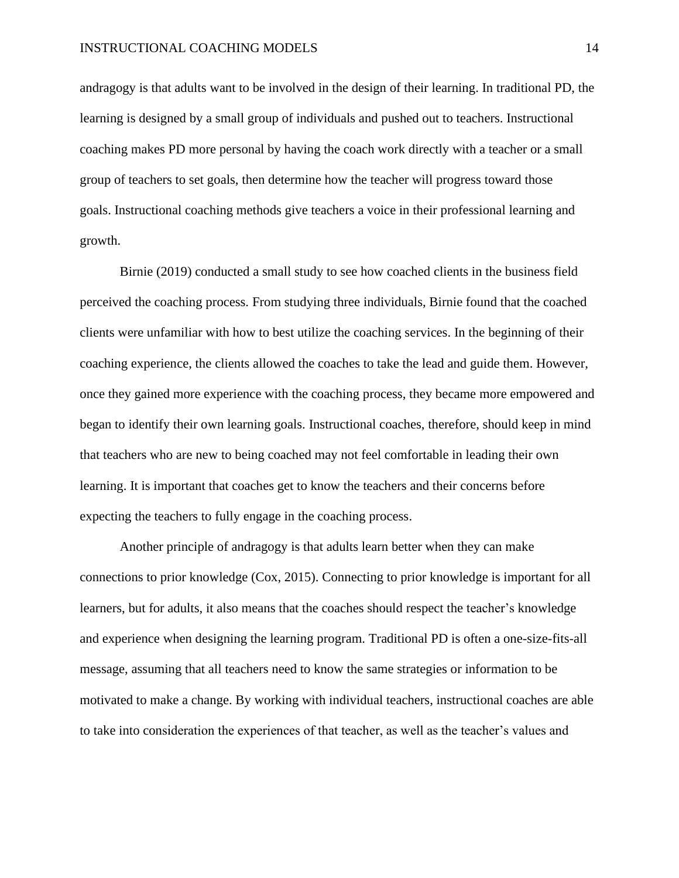andragogy is that adults want to be involved in the design of their learning. In traditional PD, the learning is designed by a small group of individuals and pushed out to teachers. Instructional coaching makes PD more personal by having the coach work directly with a teacher or a small group of teachers to set goals, then determine how the teacher will progress toward those goals. Instructional coaching methods give teachers a voice in their professional learning and growth.

Birnie (2019) conducted a small study to see how coached clients in the business field perceived the coaching process. From studying three individuals, Birnie found that the coached clients were unfamiliar with how to best utilize the coaching services. In the beginning of their coaching experience, the clients allowed the coaches to take the lead and guide them. However, once they gained more experience with the coaching process, they became more empowered and began to identify their own learning goals. Instructional coaches, therefore, should keep in mind that teachers who are new to being coached may not feel comfortable in leading their own learning. It is important that coaches get to know the teachers and their concerns before expecting the teachers to fully engage in the coaching process.

Another principle of andragogy is that adults learn better when they can make connections to prior knowledge (Cox, 2015). Connecting to prior knowledge is important for all learners, but for adults, it also means that the coaches should respect the teacher's knowledge and experience when designing the learning program. Traditional PD is often a one-size-fits-all message, assuming that all teachers need to know the same strategies or information to be motivated to make a change. By working with individual teachers, instructional coaches are able to take into consideration the experiences of that teacher, as well as the teacher's values and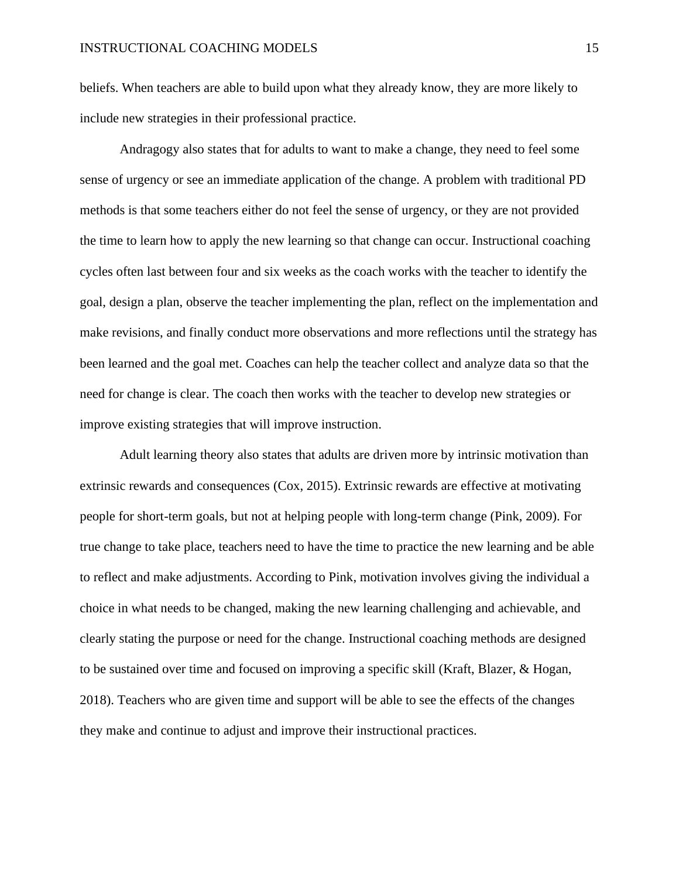beliefs. When teachers are able to build upon what they already know, they are more likely to include new strategies in their professional practice.

Andragogy also states that for adults to want to make a change, they need to feel some sense of urgency or see an immediate application of the change. A problem with traditional PD methods is that some teachers either do not feel the sense of urgency, or they are not provided the time to learn how to apply the new learning so that change can occur. Instructional coaching cycles often last between four and six weeks as the coach works with the teacher to identify the goal, design a plan, observe the teacher implementing the plan, reflect on the implementation and make revisions, and finally conduct more observations and more reflections until the strategy has been learned and the goal met. Coaches can help the teacher collect and analyze data so that the need for change is clear. The coach then works with the teacher to develop new strategies or improve existing strategies that will improve instruction.

Adult learning theory also states that adults are driven more by intrinsic motivation than extrinsic rewards and consequences (Cox, 2015). Extrinsic rewards are effective at motivating people for short-term goals, but not at helping people with long-term change (Pink, 2009). For true change to take place, teachers need to have the time to practice the new learning and be able to reflect and make adjustments. According to Pink, motivation involves giving the individual a choice in what needs to be changed, making the new learning challenging and achievable, and clearly stating the purpose or need for the change. Instructional coaching methods are designed to be sustained over time and focused on improving a specific skill (Kraft, Blazer, & Hogan, 2018). Teachers who are given time and support will be able to see the effects of the changes they make and continue to adjust and improve their instructional practices.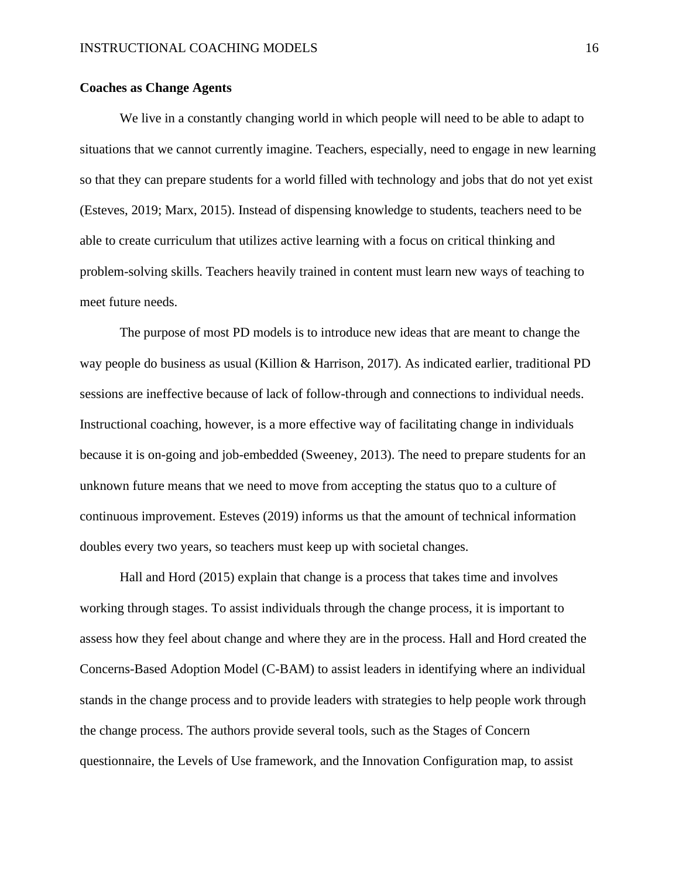# **Coaches as Change Agents**

We live in a constantly changing world in which people will need to be able to adapt to situations that we cannot currently imagine. Teachers, especially, need to engage in new learning so that they can prepare students for a world filled with technology and jobs that do not yet exist (Esteves, 2019; Marx, 2015). Instead of dispensing knowledge to students, teachers need to be able to create curriculum that utilizes active learning with a focus on critical thinking and problem-solving skills. Teachers heavily trained in content must learn new ways of teaching to meet future needs.

The purpose of most PD models is to introduce new ideas that are meant to change the way people do business as usual (Killion & Harrison, 2017). As indicated earlier, traditional PD sessions are ineffective because of lack of follow-through and connections to individual needs. Instructional coaching, however, is a more effective way of facilitating change in individuals because it is on-going and job-embedded (Sweeney, 2013). The need to prepare students for an unknown future means that we need to move from accepting the status quo to a culture of continuous improvement. Esteves (2019) informs us that the amount of technical information doubles every two years, so teachers must keep up with societal changes.

Hall and Hord (2015) explain that change is a process that takes time and involves working through stages. To assist individuals through the change process, it is important to assess how they feel about change and where they are in the process. Hall and Hord created the Concerns-Based Adoption Model (C-BAM) to assist leaders in identifying where an individual stands in the change process and to provide leaders with strategies to help people work through the change process. The authors provide several tools, such as the Stages of Concern questionnaire, the Levels of Use framework, and the Innovation Configuration map, to assist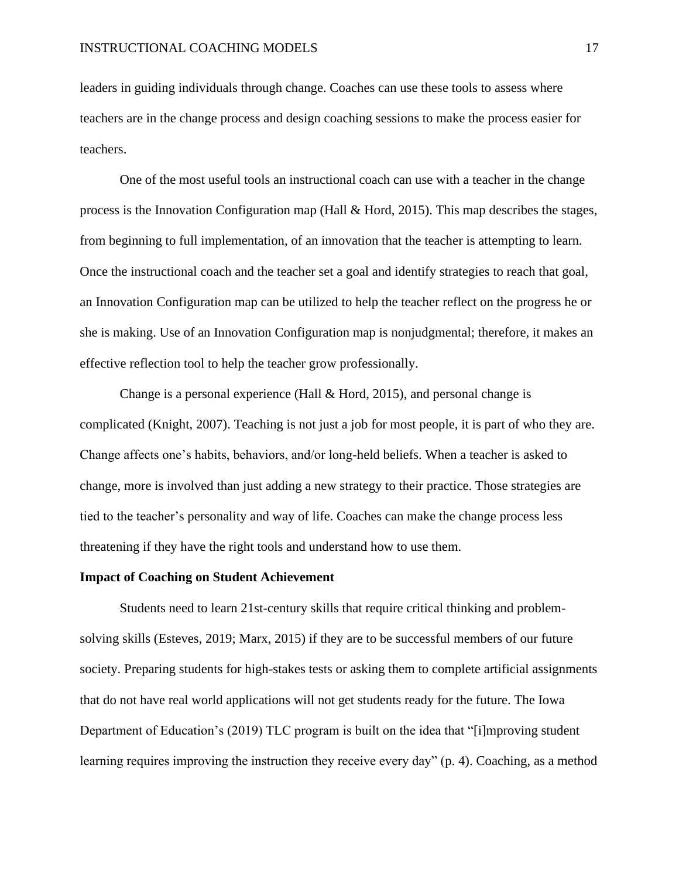leaders in guiding individuals through change. Coaches can use these tools to assess where teachers are in the change process and design coaching sessions to make the process easier for teachers.

One of the most useful tools an instructional coach can use with a teacher in the change process is the Innovation Configuration map (Hall & Hord, 2015). This map describes the stages, from beginning to full implementation, of an innovation that the teacher is attempting to learn. Once the instructional coach and the teacher set a goal and identify strategies to reach that goal, an Innovation Configuration map can be utilized to help the teacher reflect on the progress he or she is making. Use of an Innovation Configuration map is nonjudgmental; therefore, it makes an effective reflection tool to help the teacher grow professionally.

Change is a personal experience (Hall & Hord, 2015), and personal change is complicated (Knight, 2007). Teaching is not just a job for most people, it is part of who they are. Change affects one's habits, behaviors, and/or long-held beliefs. When a teacher is asked to change, more is involved than just adding a new strategy to their practice. Those strategies are tied to the teacher's personality and way of life. Coaches can make the change process less threatening if they have the right tools and understand how to use them.

#### **Impact of Coaching on Student Achievement**

Students need to learn 21st-century skills that require critical thinking and problemsolving skills (Esteves, 2019; Marx, 2015) if they are to be successful members of our future society. Preparing students for high-stakes tests or asking them to complete artificial assignments that do not have real world applications will not get students ready for the future. The Iowa Department of Education's (2019) TLC program is built on the idea that "[i]mproving student learning requires improving the instruction they receive every day" (p. 4). Coaching, as a method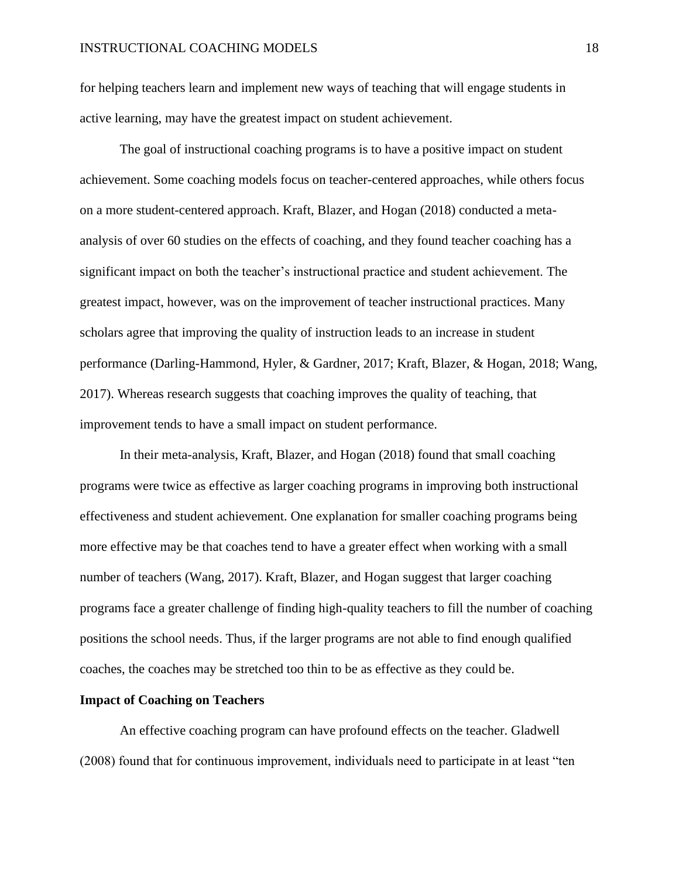for helping teachers learn and implement new ways of teaching that will engage students in active learning, may have the greatest impact on student achievement.

The goal of instructional coaching programs is to have a positive impact on student achievement. Some coaching models focus on teacher-centered approaches, while others focus on a more student-centered approach. Kraft, Blazer, and Hogan (2018) conducted a metaanalysis of over 60 studies on the effects of coaching, and they found teacher coaching has a significant impact on both the teacher's instructional practice and student achievement. The greatest impact, however, was on the improvement of teacher instructional practices. Many scholars agree that improving the quality of instruction leads to an increase in student performance (Darling-Hammond, Hyler, & Gardner, 2017; Kraft, Blazer, & Hogan, 2018; Wang, 2017). Whereas research suggests that coaching improves the quality of teaching, that improvement tends to have a small impact on student performance.

In their meta-analysis, Kraft, Blazer, and Hogan (2018) found that small coaching programs were twice as effective as larger coaching programs in improving both instructional effectiveness and student achievement. One explanation for smaller coaching programs being more effective may be that coaches tend to have a greater effect when working with a small number of teachers (Wang, 2017). Kraft, Blazer, and Hogan suggest that larger coaching programs face a greater challenge of finding high-quality teachers to fill the number of coaching positions the school needs. Thus, if the larger programs are not able to find enough qualified coaches, the coaches may be stretched too thin to be as effective as they could be.

#### **Impact of Coaching on Teachers**

An effective coaching program can have profound effects on the teacher. Gladwell (2008) found that for continuous improvement, individuals need to participate in at least "ten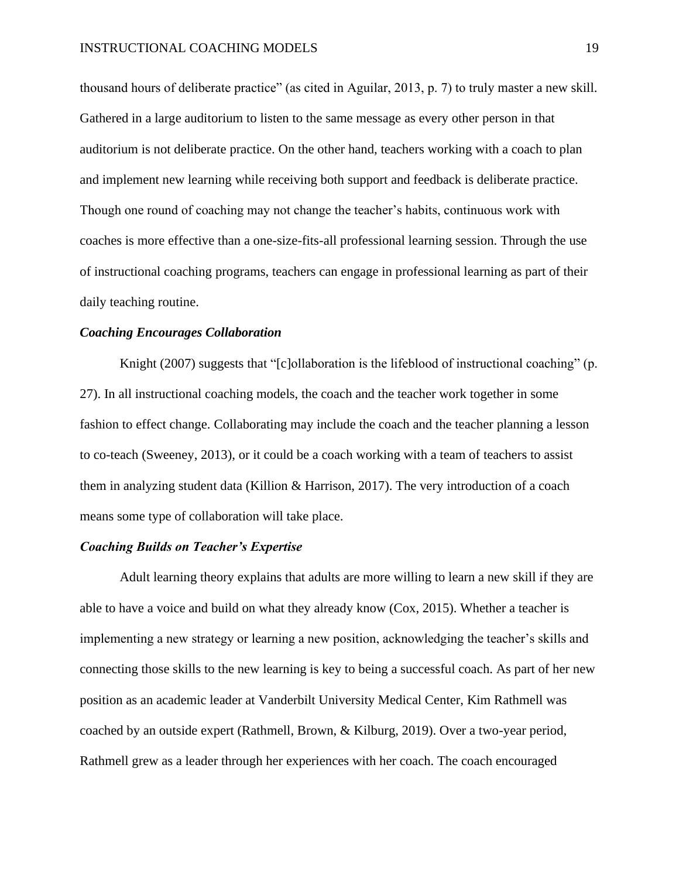thousand hours of deliberate practice" (as cited in Aguilar, 2013, p. 7) to truly master a new skill. Gathered in a large auditorium to listen to the same message as every other person in that auditorium is not deliberate practice. On the other hand, teachers working with a coach to plan and implement new learning while receiving both support and feedback is deliberate practice. Though one round of coaching may not change the teacher's habits, continuous work with coaches is more effective than a one-size-fits-all professional learning session. Through the use of instructional coaching programs, teachers can engage in professional learning as part of their daily teaching routine.

#### *Coaching Encourages Collaboration*

Knight (2007) suggests that "[c]ollaboration is the lifeblood of instructional coaching" (p. 27). In all instructional coaching models, the coach and the teacher work together in some fashion to effect change. Collaborating may include the coach and the teacher planning a lesson to co-teach (Sweeney, 2013), or it could be a coach working with a team of teachers to assist them in analyzing student data (Killion & Harrison, 2017). The very introduction of a coach means some type of collaboration will take place.

# *Coaching Builds on Teacher's Expertise*

Adult learning theory explains that adults are more willing to learn a new skill if they are able to have a voice and build on what they already know (Cox, 2015). Whether a teacher is implementing a new strategy or learning a new position, acknowledging the teacher's skills and connecting those skills to the new learning is key to being a successful coach. As part of her new position as an academic leader at Vanderbilt University Medical Center, Kim Rathmell was coached by an outside expert (Rathmell, Brown, & Kilburg, 2019). Over a two-year period, Rathmell grew as a leader through her experiences with her coach. The coach encouraged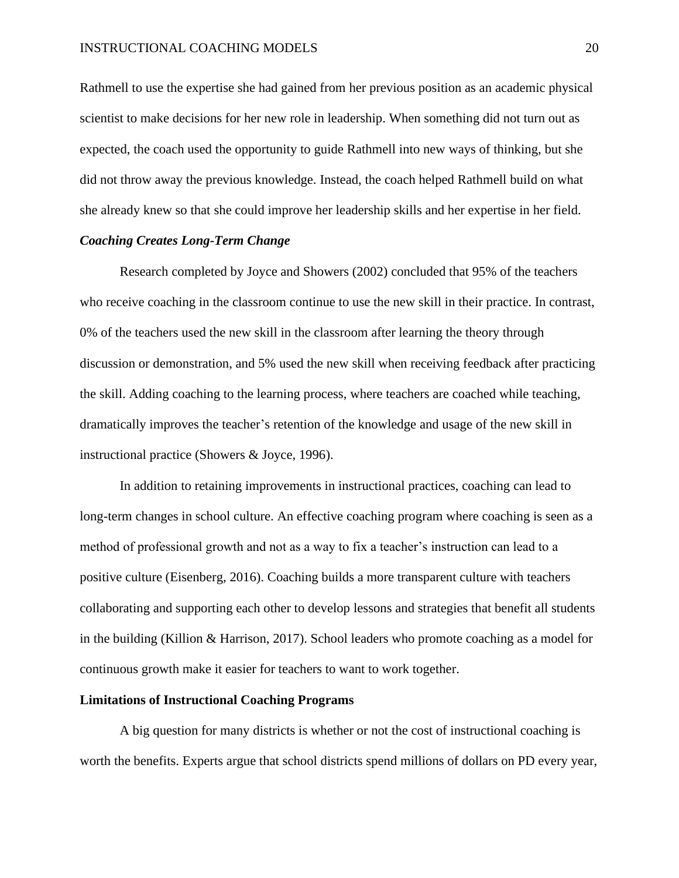Rathmell to use the expertise she had gained from her previous position as an academic physical scientist to make decisions for her new role in leadership. When something did not turn out as expected, the coach used the opportunity to guide Rathmell into new ways of thinking, but she did not throw away the previous knowledge. Instead, the coach helped Rathmell build on what she already knew so that she could improve her leadership skills and her expertise in her field.

# *Coaching Creates Long-Term Change*

Research completed by Joyce and Showers (2002) concluded that 95% of the teachers who receive coaching in the classroom continue to use the new skill in their practice. In contrast, 0% of the teachers used the new skill in the classroom after learning the theory through discussion or demonstration, and 5% used the new skill when receiving feedback after practicing the skill. Adding coaching to the learning process, where teachers are coached while teaching, dramatically improves the teacher's retention of the knowledge and usage of the new skill in instructional practice (Showers & Joyce, 1996).

In addition to retaining improvements in instructional practices, coaching can lead to long-term changes in school culture. An effective coaching program where coaching is seen as a method of professional growth and not as a way to fix a teacher's instruction can lead to a positive culture (Eisenberg, 2016). Coaching builds a more transparent culture with teachers collaborating and supporting each other to develop lessons and strategies that benefit all students in the building (Killion & Harrison, 2017). School leaders who promote coaching as a model for continuous growth make it easier for teachers to want to work together.

#### **Limitations of Instructional Coaching Programs**

A big question for many districts is whether or not the cost of instructional coaching is worth the benefits. Experts argue that school districts spend millions of dollars on PD every year,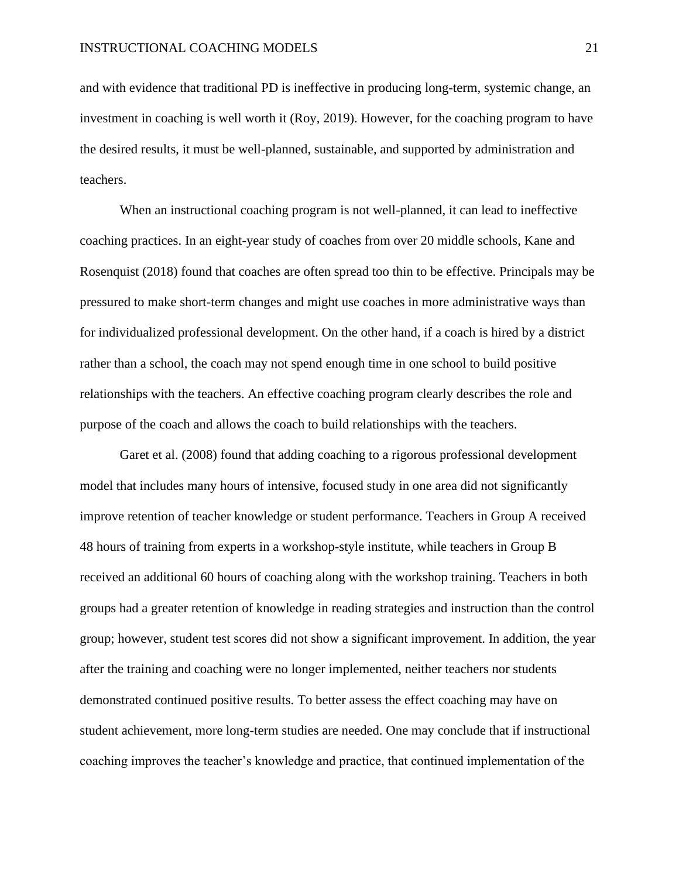and with evidence that traditional PD is ineffective in producing long-term, systemic change, an investment in coaching is well worth it (Roy, 2019). However, for the coaching program to have the desired results, it must be well-planned, sustainable, and supported by administration and teachers.

When an instructional coaching program is not well-planned, it can lead to ineffective coaching practices. In an eight-year study of coaches from over 20 middle schools, Kane and Rosenquist (2018) found that coaches are often spread too thin to be effective. Principals may be pressured to make short-term changes and might use coaches in more administrative ways than for individualized professional development. On the other hand, if a coach is hired by a district rather than a school, the coach may not spend enough time in one school to build positive relationships with the teachers. An effective coaching program clearly describes the role and purpose of the coach and allows the coach to build relationships with the teachers.

Garet et al. (2008) found that adding coaching to a rigorous professional development model that includes many hours of intensive, focused study in one area did not significantly improve retention of teacher knowledge or student performance. Teachers in Group A received 48 hours of training from experts in a workshop-style institute, while teachers in Group B received an additional 60 hours of coaching along with the workshop training. Teachers in both groups had a greater retention of knowledge in reading strategies and instruction than the control group; however, student test scores did not show a significant improvement. In addition, the year after the training and coaching were no longer implemented, neither teachers nor students demonstrated continued positive results. To better assess the effect coaching may have on student achievement, more long-term studies are needed. One may conclude that if instructional coaching improves the teacher's knowledge and practice, that continued implementation of the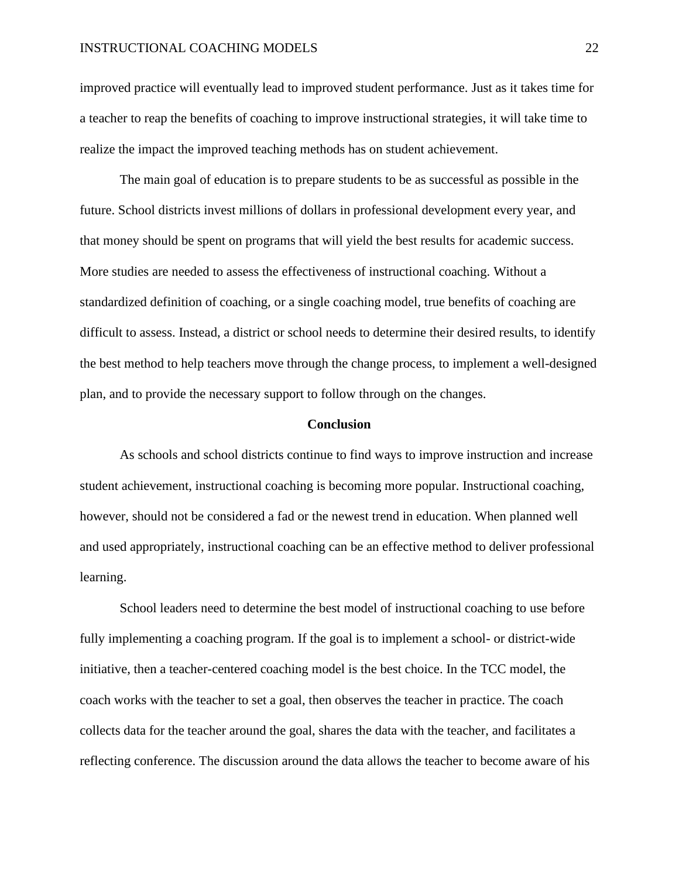improved practice will eventually lead to improved student performance. Just as it takes time for a teacher to reap the benefits of coaching to improve instructional strategies, it will take time to realize the impact the improved teaching methods has on student achievement.

The main goal of education is to prepare students to be as successful as possible in the future. School districts invest millions of dollars in professional development every year, and that money should be spent on programs that will yield the best results for academic success. More studies are needed to assess the effectiveness of instructional coaching. Without a standardized definition of coaching, or a single coaching model, true benefits of coaching are difficult to assess. Instead, a district or school needs to determine their desired results, to identify the best method to help teachers move through the change process, to implement a well-designed plan, and to provide the necessary support to follow through on the changes.

#### **Conclusion**

As schools and school districts continue to find ways to improve instruction and increase student achievement, instructional coaching is becoming more popular. Instructional coaching, however, should not be considered a fad or the newest trend in education. When planned well and used appropriately, instructional coaching can be an effective method to deliver professional learning.

School leaders need to determine the best model of instructional coaching to use before fully implementing a coaching program. If the goal is to implement a school- or district-wide initiative, then a teacher-centered coaching model is the best choice. In the TCC model, the coach works with the teacher to set a goal, then observes the teacher in practice. The coach collects data for the teacher around the goal, shares the data with the teacher, and facilitates a reflecting conference. The discussion around the data allows the teacher to become aware of his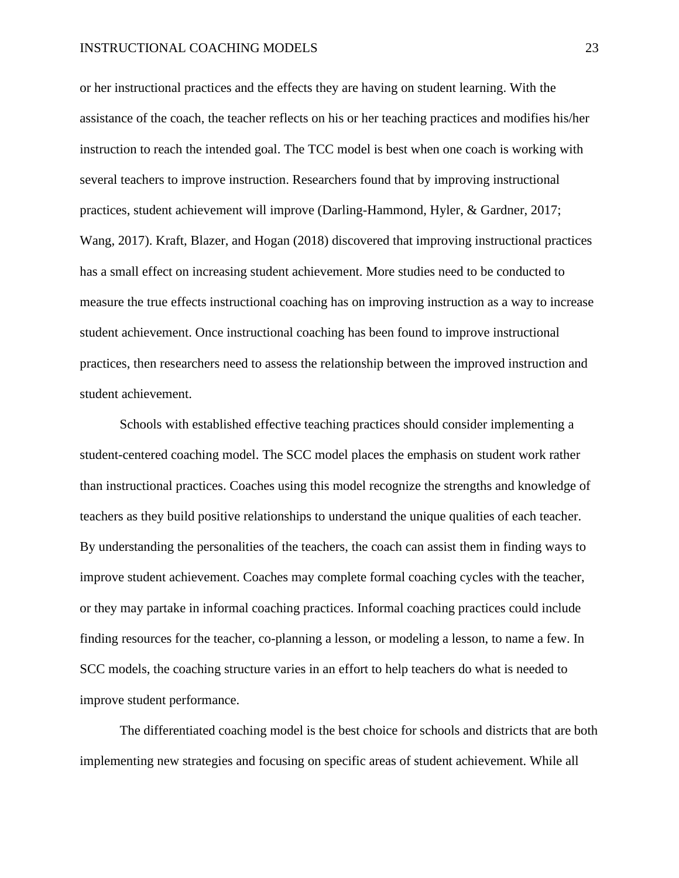or her instructional practices and the effects they are having on student learning. With the assistance of the coach, the teacher reflects on his or her teaching practices and modifies his/her instruction to reach the intended goal. The TCC model is best when one coach is working with several teachers to improve instruction. Researchers found that by improving instructional practices, student achievement will improve (Darling-Hammond, Hyler, & Gardner, 2017; Wang, 2017). Kraft, Blazer, and Hogan (2018) discovered that improving instructional practices has a small effect on increasing student achievement. More studies need to be conducted to measure the true effects instructional coaching has on improving instruction as a way to increase student achievement. Once instructional coaching has been found to improve instructional practices, then researchers need to assess the relationship between the improved instruction and student achievement.

Schools with established effective teaching practices should consider implementing a student-centered coaching model. The SCC model places the emphasis on student work rather than instructional practices. Coaches using this model recognize the strengths and knowledge of teachers as they build positive relationships to understand the unique qualities of each teacher. By understanding the personalities of the teachers, the coach can assist them in finding ways to improve student achievement. Coaches may complete formal coaching cycles with the teacher, or they may partake in informal coaching practices. Informal coaching practices could include finding resources for the teacher, co-planning a lesson, or modeling a lesson, to name a few. In SCC models, the coaching structure varies in an effort to help teachers do what is needed to improve student performance.

The differentiated coaching model is the best choice for schools and districts that are both implementing new strategies and focusing on specific areas of student achievement. While all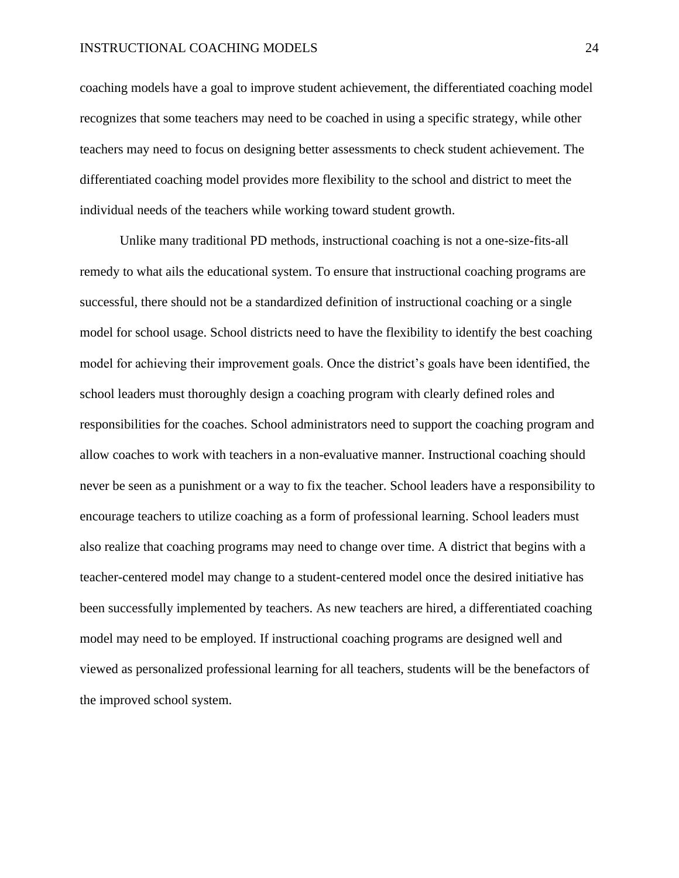coaching models have a goal to improve student achievement, the differentiated coaching model recognizes that some teachers may need to be coached in using a specific strategy, while other teachers may need to focus on designing better assessments to check student achievement. The differentiated coaching model provides more flexibility to the school and district to meet the individual needs of the teachers while working toward student growth.

Unlike many traditional PD methods, instructional coaching is not a one-size-fits-all remedy to what ails the educational system. To ensure that instructional coaching programs are successful, there should not be a standardized definition of instructional coaching or a single model for school usage. School districts need to have the flexibility to identify the best coaching model for achieving their improvement goals. Once the district's goals have been identified, the school leaders must thoroughly design a coaching program with clearly defined roles and responsibilities for the coaches. School administrators need to support the coaching program and allow coaches to work with teachers in a non-evaluative manner. Instructional coaching should never be seen as a punishment or a way to fix the teacher. School leaders have a responsibility to encourage teachers to utilize coaching as a form of professional learning. School leaders must also realize that coaching programs may need to change over time. A district that begins with a teacher-centered model may change to a student-centered model once the desired initiative has been successfully implemented by teachers. As new teachers are hired, a differentiated coaching model may need to be employed. If instructional coaching programs are designed well and viewed as personalized professional learning for all teachers, students will be the benefactors of the improved school system.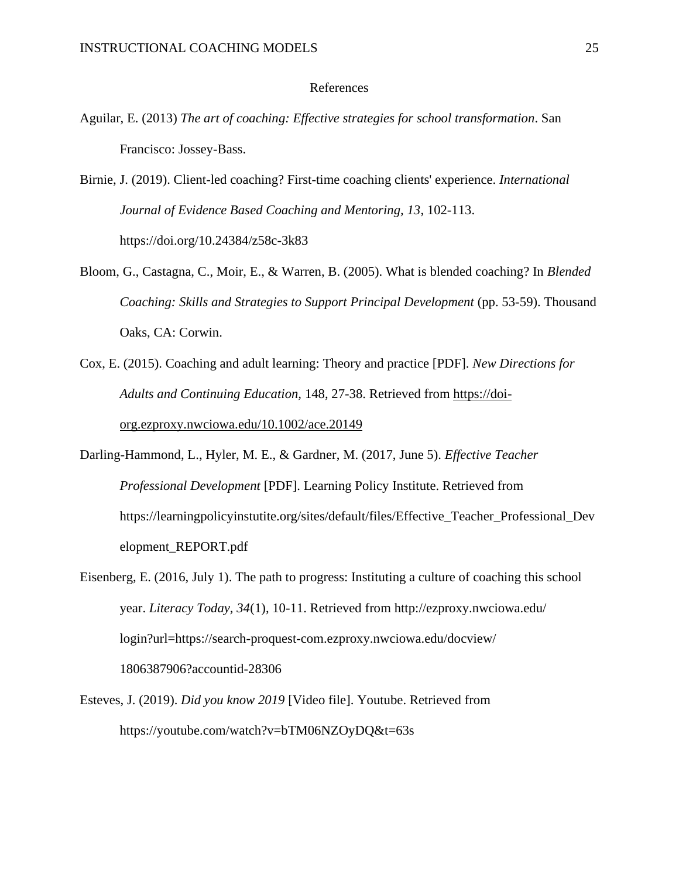# References

- Aguilar, E. (2013) *The art of coaching: Effective strategies for school transformation*. San Francisco: Jossey-Bass.
- Birnie, J. (2019). Client-led coaching? First-time coaching clients' experience. *International Journal of Evidence Based Coaching and Mentoring, 13*, 102-113. https://doi.org/10.24384/z58c-3k83
- Bloom, G., Castagna, C., Moir, E., & Warren, B. (2005). What is blended coaching? In *Blended Coaching: Skills and Strategies to Support Principal Development* (pp. 53-59). Thousand Oaks, CA: Corwin.
- Cox, E. (2015). Coaching and adult learning: Theory and practice [PDF]. *New Directions for Adults and Continuing Education,* 148, 27-38. Retrieved from [https://doi](https://doi-org.ezproxy.nwciowa.edu/10.1002/ace.20149)[org.ezproxy.nwciowa.edu/10.1002/ace.20149](https://doi-org.ezproxy.nwciowa.edu/10.1002/ace.20149)
- Darling-Hammond, L., Hyler, M. E., & Gardner, M. (2017, June 5). *Effective Teacher Professional Development* [PDF]. Learning Policy Institute. Retrieved from https://learningpolicyinstutite.org/sites/default/files/Effective\_Teacher\_Professional\_Dev elopment\_REPORT.pdf
- Eisenberg, E. (2016, July 1). The path to progress: Instituting a culture of coaching this school year. *Literacy Today, 34*(1), 10-11. Retrieved from http://ezproxy.nwciowa.edu/ login?url=https://search-proquest-com.ezproxy.nwciowa.edu/docview/ 1806387906?accountid-28306
- Esteves, J. (2019). *Did you know 2019* [Video file]. Youtube. Retrieved from https://youtube.com/watch?v=bTM06NZOyDQ&t=63s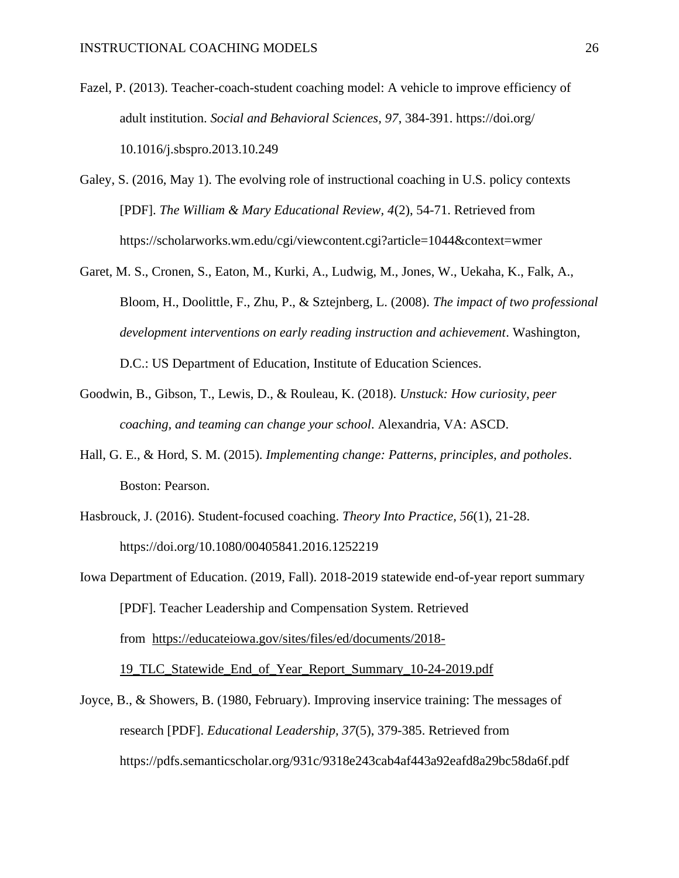- Fazel, P. (2013). Teacher-coach-student coaching model: A vehicle to improve efficiency of adult institution. *Social and Behavioral Sciences, 97*, 384-391. https://doi.org/ 10.1016/j.sbspro.2013.10.249
- Galey, S. (2016, May 1). The evolving role of instructional coaching in U.S. policy contexts [PDF]. *The William & Mary Educational Review, 4*(2), 54-71. Retrieved from https://scholarworks.wm.edu/cgi/viewcontent.cgi?article=1044&context=wmer
- Garet, M. S., Cronen, S., Eaton, M., Kurki, A., Ludwig, M., Jones, W., Uekaha, K., Falk, A., Bloom, H., Doolittle, F., Zhu, P., & Sztejnberg, L. (2008). *The impact of two professional development interventions on early reading instruction and achievement*. Washington, D.C.: US Department of Education, Institute of Education Sciences.
- Goodwin, B., Gibson, T., Lewis, D., & Rouleau, K. (2018). *Unstuck: How curiosity, peer coaching, and teaming can change your school*. Alexandria, VA: ASCD.
- Hall, G. E., & Hord, S. M. (2015). *Implementing change: Patterns, principles, and potholes*. Boston: Pearson.
- Hasbrouck, J. (2016). Student-focused coaching. *Theory Into Practice, 56*(1), 21-28. https://doi.org/10.1080/00405841.2016.1252219
- Iowa Department of Education. (2019, Fall). 2018-2019 statewide end-of-year report summary [PDF]. Teacher Leadership and Compensation System. Retrieved from [https://educateiowa.gov/sites/files/ed/documents/2018-](https://educateiowa.gov/sites/files/ed/documents/2018-19_TLC_Statewide_End_of_Year_Report_Summary_10-24-2019.pdf) [19\\_TLC\\_Statewide\\_End\\_of\\_Year\\_Report\\_Summary\\_10-24-2019.pdf](https://educateiowa.gov/sites/files/ed/documents/2018-19_TLC_Statewide_End_of_Year_Report_Summary_10-24-2019.pdf)
- Joyce, B., & Showers, B. (1980, February). Improving inservice training: The messages of research [PDF]. *Educational Leadership, 37*(5), 379-385. Retrieved from https://pdfs.semanticscholar.org/931c/9318e243cab4af443a92eafd8a29bc58da6f.pdf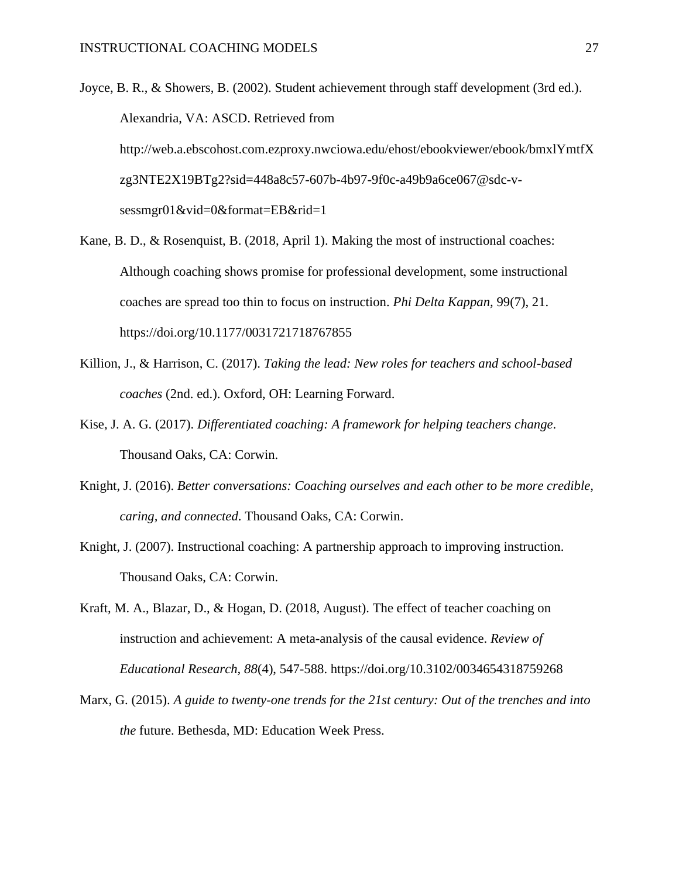Joyce, B. R., & Showers, B. (2002). Student achievement through staff development (3rd ed.). Alexandria, VA: ASCD. Retrieved from http://web.a.ebscohost.com.ezproxy.nwciowa.edu/ehost/ebookviewer/ebook/bmxlYmtfX zg3NTE2X19BTg2?sid=448a8c57-607b-4b97-9f0c-a49b9a6ce067@sdc-vsessmgr01&vid=0&format=EB&rid=1

- Kane, B. D., & Rosenquist, B. (2018, April 1). Making the most of instructional coaches: Although coaching shows promise for professional development, some instructional coaches are spread too thin to focus on instruction. *Phi Delta Kappan,* 99(7), 21. https://doi.org/10.1177/0031721718767855
- Killion, J., & Harrison, C. (2017). *Taking the lead: New roles for teachers and school-based coaches* (2nd. ed.). Oxford, OH: Learning Forward.
- Kise, J. A. G. (2017). *Differentiated coaching: A framework for helping teachers change*. Thousand Oaks, CA: Corwin.
- Knight, J. (2016). *Better conversations: Coaching ourselves and each other to be more credible, caring, and connected*. Thousand Oaks, CA: Corwin.
- Knight, J. (2007). Instructional coaching: A partnership approach to improving instruction. Thousand Oaks, CA: Corwin.
- Kraft, M. A., Blazar, D., & Hogan, D. (2018, August). The effect of teacher coaching on instruction and achievement: A meta-analysis of the causal evidence. *Review of Educational Research, 88*(4), 547-588. https://doi.org/10.3102/0034654318759268
- Marx, G. (2015). *A guide to twenty-one trends for the 21st century: Out of the trenches and into the* future. Bethesda, MD: Education Week Press.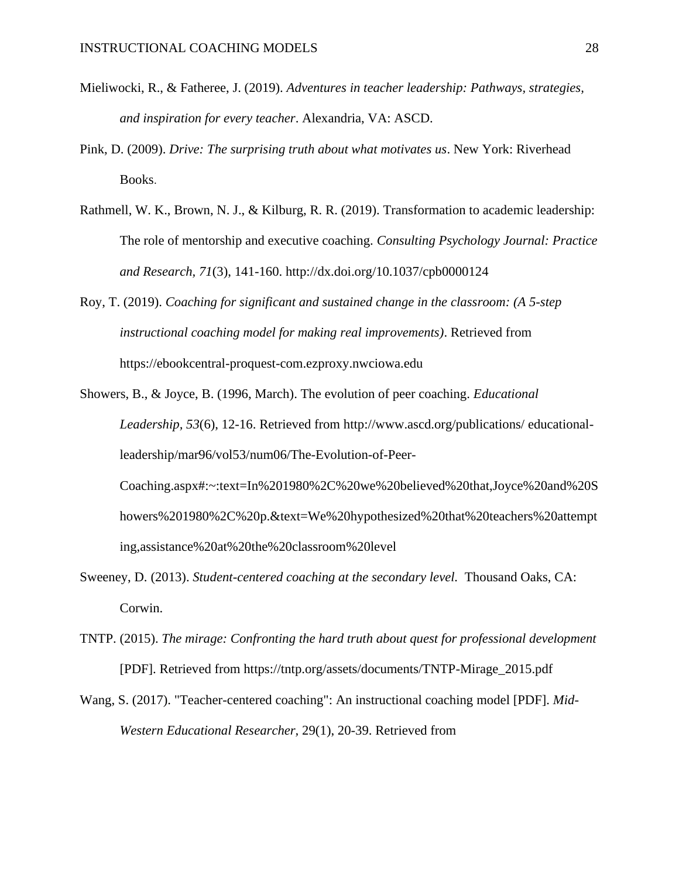- Mieliwocki, R., & Fatheree, J. (2019). *Adventures in teacher leadership: Pathways, strategies, and inspiration for every teacher*. Alexandria, VA: ASCD.
- Pink, D. (2009). *Drive: The surprising truth about what motivates us*. New York: Riverhead Books.
- Rathmell, W. K., Brown, N. J., & Kilburg, R. R. (2019). Transformation to academic leadership: The role of mentorship and executive coaching. *Consulting Psychology Journal: Practice and Research, 71*(3), 141-160. http://dx.doi.org/10.1037/cpb0000124
- Roy, T. (2019). *Coaching for significant and sustained change in the classroom: (A 5-step instructional coaching model for making real improvements)*. Retrieved from https://ebookcentral-proquest-com.ezproxy.nwciowa.edu
- Showers, B., & Joyce, B. (1996, March). The evolution of peer coaching. *Educational Leadership, 53*(6), 12-16. Retrieved from http://www.ascd.org/publications/ educationalleadership/mar96/vol53/num06/The-Evolution-of-Peer-Coaching.aspx#:~:text=In%201980%2C%20we%20believed%20that,Joyce%20and%20S howers%201980%2C%20p.&text=We%20hypothesized%20that%20teachers%20attempt ing,assistance%20at%20the%20classroom%20level
- Sweeney, D. (2013). *Student-centered coaching at the secondary level.* Thousand Oaks, CA: Corwin.
- TNTP. (2015). *The mirage: Confronting the hard truth about quest for professional development* [PDF]. Retrieved from https://tntp.org/assets/documents/TNTP-Mirage\_2015.pdf
- Wang, S. (2017). "Teacher-centered coaching": An instructional coaching model [PDF]. *Mid-Western Educational Researcher,* 29(1), 20-39. Retrieved from